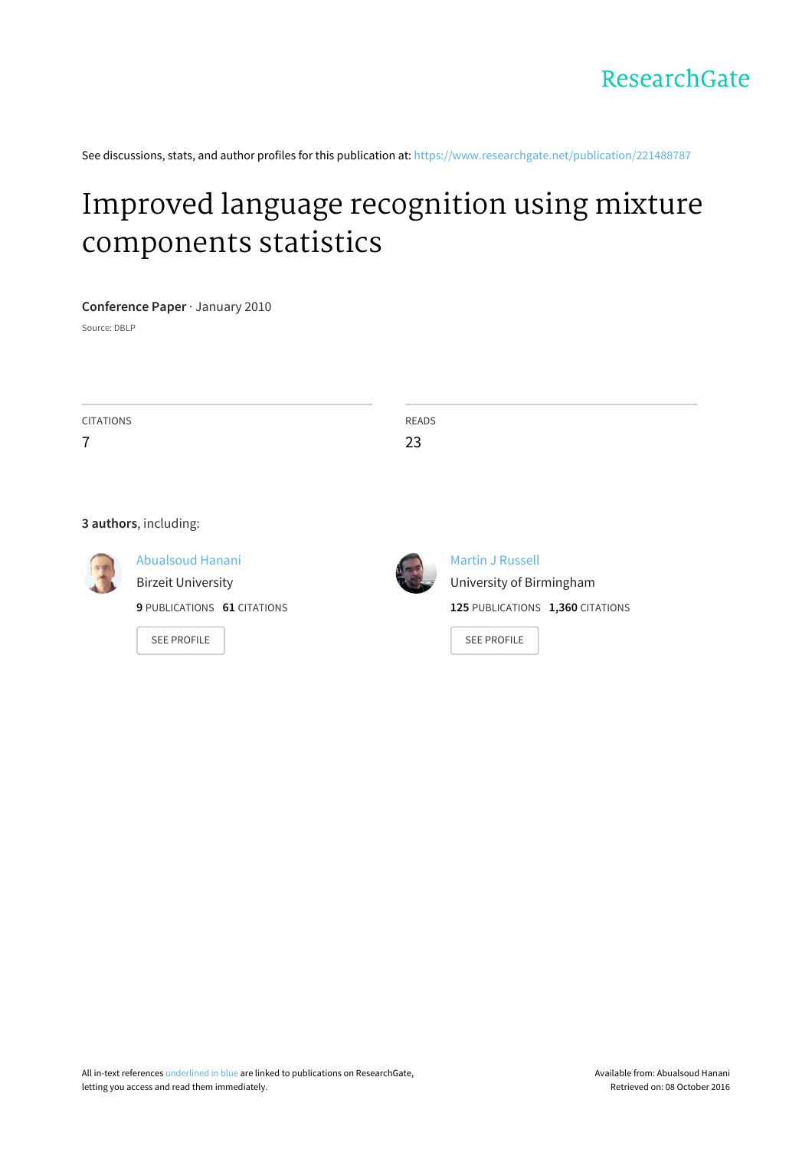See discussions, stats, and author profiles for this publication at: [https://www.researchgate.net/publication/221488787](https://www.researchgate.net/publication/221488787_Improved_language_recognition_using_mixture_components_statistics?enrichId=rgreq-28adc3462f6a582a47b08d9794cb4f53-XXX&enrichSource=Y292ZXJQYWdlOzIyMTQ4ODc4NztBUzoxNjU0OTczNDk4Nzc3NjBAMTQxNjQ2OTA1MTAyNA%3D%3D&el=1_x_2)

# Improved language recognition using mixture [components](https://www.researchgate.net/publication/221488787_Improved_language_recognition_using_mixture_components_statistics?enrichId=rgreq-28adc3462f6a582a47b08d9794cb4f53-XXX&enrichSource=Y292ZXJQYWdlOzIyMTQ4ODc4NztBUzoxNjU0OTczNDk4Nzc3NjBAMTQxNjQ2OTA1MTAyNA%3D%3D&el=1_x_3) statistics

## **Conference Paper** · January 2010

Source: DBLP

| CITATIONS      | READS |
|----------------|-------|
| $\overline{ }$ | 23    |
|                |       |

#### **3 authors**, including:



[Abualsoud](https://www.researchgate.net/profile/Abualsoud_Hanani2?enrichId=rgreq-28adc3462f6a582a47b08d9794cb4f53-XXX&enrichSource=Y292ZXJQYWdlOzIyMTQ4ODc4NztBUzoxNjU0OTczNDk4Nzc3NjBAMTQxNjQ2OTA1MTAyNA%3D%3D&el=1_x_5) Hanani Birzeit [University](https://www.researchgate.net/institution/Birzeit_University?enrichId=rgreq-28adc3462f6a582a47b08d9794cb4f53-XXX&enrichSource=Y292ZXJQYWdlOzIyMTQ4ODc4NztBUzoxNjU0OTczNDk4Nzc3NjBAMTQxNjQ2OTA1MTAyNA%3D%3D&el=1_x_6)

**9** PUBLICATIONS **61** CITATIONS

SEE [PROFILE](https://www.researchgate.net/profile/Abualsoud_Hanani2?enrichId=rgreq-28adc3462f6a582a47b08d9794cb4f53-XXX&enrichSource=Y292ZXJQYWdlOzIyMTQ4ODc4NztBUzoxNjU0OTczNDk4Nzc3NjBAMTQxNjQ2OTA1MTAyNA%3D%3D&el=1_x_7)



Martin J [Russell](https://www.researchgate.net/profile/Martin_Russell?enrichId=rgreq-28adc3462f6a582a47b08d9794cb4f53-XXX&enrichSource=Y292ZXJQYWdlOzIyMTQ4ODc4NztBUzoxNjU0OTczNDk4Nzc3NjBAMTQxNjQ2OTA1MTAyNA%3D%3D&el=1_x_5) University of [Birmingham](https://www.researchgate.net/institution/University_of_Birmingham?enrichId=rgreq-28adc3462f6a582a47b08d9794cb4f53-XXX&enrichSource=Y292ZXJQYWdlOzIyMTQ4ODc4NztBUzoxNjU0OTczNDk4Nzc3NjBAMTQxNjQ2OTA1MTAyNA%3D%3D&el=1_x_6) **125** PUBLICATIONS **1,360** CITATIONS

SEE [PROFILE](https://www.researchgate.net/profile/Martin_Russell?enrichId=rgreq-28adc3462f6a582a47b08d9794cb4f53-XXX&enrichSource=Y292ZXJQYWdlOzIyMTQ4ODc4NztBUzoxNjU0OTczNDk4Nzc3NjBAMTQxNjQ2OTA1MTAyNA%3D%3D&el=1_x_7)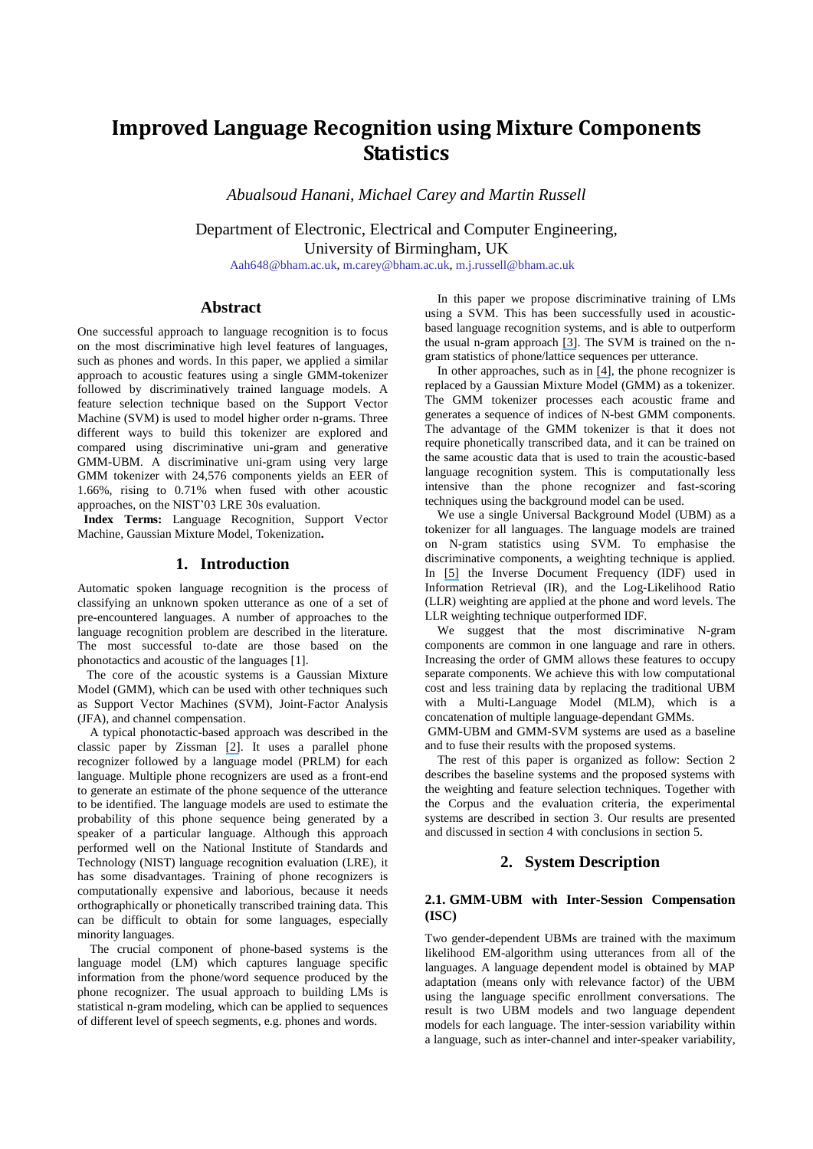# **Improved Language Recognition using Mixture Components Statistics**

*Abualsoud Hanani, Michael Carey and Martin Russell*

Department of Electronic, Electrical and Computer Engineering, University of Birmingham, UK

[Aah648@bham.ac.uk,](mailto:Aah648@bham.ac.uk) [m.carey@bham.ac.uk,](mailto:m.carey@bham.ac.uk) [m.j.russell@bham.ac.uk](mailto:m.j.russell@bham.ac.uk)

## **Abstract**

One successful approach to language recognition is to focus on the most discriminative high level features of languages, such as phones and words. In this paper, we applied a similar approach to acoustic features using a single GMM-tokenizer followed by discriminatively trained language models. A feature selection technique based on the Support Vector Machine (SVM) is used to model higher order n-grams. Three different ways to build this tokenizer are explored and compared using discriminative uni-gram and generative GMM-UBM. A discriminative uni-gram using very large GMM tokenizer with 24,576 components yields an EER of 1.66%, rising to 0.71% when fused with other acoustic approaches, on the NIST"03 LRE 30s evaluation.

 **Index Terms:** Language Recognition, Support Vector Machine, Gaussian Mixture Model, Tokenization**.**

# **1. Introduction**

Automatic spoken language recognition is the process of classifying an unknown spoken utterance as one of a set of pre-encountered languages. A number of approaches to the language recognition problem are described in the literature. The most successful to-date are those based on the phonotactics and acoustic of the languages [1].

 The core of the acoustic systems is a Gaussian Mixture Model (GMM), which can be used with other techniques such as Support Vector Machines (SVM), Joint-Factor Analysis (JFA), and channel compensation.

 A typical phonotactic-based approach was described in the classic paper by Zissman [\[2\]](https://www.researchgate.net/publication/3333431_Comparison_of_four_approaches_to_automatic_language_identification_of_telephone_speech_IEEE_Transactions_on_Speech_and_Audio_Processing_41_31-34?el=1_x_8&enrichId=rgreq-28adc3462f6a582a47b08d9794cb4f53-XXX&enrichSource=Y292ZXJQYWdlOzIyMTQ4ODc4NztBUzoxNjU0OTczNDk4Nzc3NjBAMTQxNjQ2OTA1MTAyNA==). It uses a parallel phone recognizer followed by a language model (PRLM) for each language. Multiple phone recognizers are used as a front-end to generate an estimate of the phone sequence of the utterance to be identified. The language models are used to estimate the probability of this phone sequence being generated by a speaker of a particular language. Although this approach performed well on the National Institute of Standards and Technology (NIST) language recognition evaluation (LRE), it has some disadvantages. Training of phone recognizers is computationally expensive and laborious, because it needs orthographically or phonetically transcribed training data. This can be difficult to obtain for some languages, especially minority languages.

 The crucial component of phone-based systems is the language model (LM) which captures language specific information from the phone/word sequence produced by the phone recognizer. The usual approach to building LMs is statistical n-gram modeling, which can be applied to sequences of different level of speech segments, e.g. phones and words.

 In this paper we propose discriminative training of LMs using a SVM. This has been successfully used in acousticbased language recognition systems, and is able to outperform the usual n-gram approach [\[3\]](https://www.researchgate.net/publication/224671759_Discriminatively_trained_Language_Models_using_Support_Vector_Machines_for_Language_Identification?el=1_x_8&enrichId=rgreq-28adc3462f6a582a47b08d9794cb4f53-XXX&enrichSource=Y292ZXJQYWdlOzIyMTQ4ODc4NztBUzoxNjU0OTczNDk4Nzc3NjBAMTQxNjQ2OTA1MTAyNA==). The SVM is trained on the ngram statistics of phone/lattice sequences per utterance.

 In other approaches, such as in [\[4\]](https://www.researchgate.net/publication/224711618_N-Best_Tokenization_in_a_GMM-SVM_Language_Identification_System?el=1_x_8&enrichId=rgreq-28adc3462f6a582a47b08d9794cb4f53-XXX&enrichSource=Y292ZXJQYWdlOzIyMTQ4ODc4NztBUzoxNjU0OTczNDk4Nzc3NjBAMTQxNjQ2OTA1MTAyNA==), the phone recognizer is replaced by a Gaussian Mixture Model (GMM) as a tokenizer. The GMM tokenizer processes each acoustic frame and generates a sequence of indices of N-best GMM components. The advantage of the GMM tokenizer is that it does not require phonetically transcribed data, and it can be trained on the same acoustic data that is used to train the acoustic-based language recognition system. This is computationally less intensive than the phone recognizer and fast-scoring techniques using the background model can be used.

 We use a single Universal Background Model (UBM) as a tokenizer for all languages. The language models are trained on N-gram statistics using SVM. To emphasise the discriminative components, a weighting technique is applied. In [\[5\]](https://www.researchgate.net/publication/3457901_Speaker_Verification_Using_Support_Vector_Machines_and_High-Level_Features?el=1_x_8&enrichId=rgreq-28adc3462f6a582a47b08d9794cb4f53-XXX&enrichSource=Y292ZXJQYWdlOzIyMTQ4ODc4NztBUzoxNjU0OTczNDk4Nzc3NjBAMTQxNjQ2OTA1MTAyNA==) the Inverse Document Frequency (IDF) used in Information Retrieval (IR), and the Log-Likelihood Ratio (LLR) weighting are applied at the phone and word levels. The LLR weighting technique outperformed IDF.

 We suggest that the most discriminative N-gram components are common in one language and rare in others. Increasing the order of GMM allows these features to occupy separate components. We achieve this with low computational cost and less training data by replacing the traditional UBM with a Multi-Language Model (MLM), which is a concatenation of multiple language-dependant GMMs.

GMM-UBM and GMM-SVM systems are used as a baseline and to fuse their results with the proposed systems.

 The rest of this paper is organized as follow: Section 2 describes the baseline systems and the proposed systems with the weighting and feature selection techniques. Together with the Corpus and the evaluation criteria, the experimental systems are described in section 3. Our results are presented and discussed in section 4 with conclusions in section 5.

# **2. System Description**

#### <span id="page-1-0"></span>**2.1. GMM-UBM with Inter-Session Compensation (ISC)**

Two gender-dependent UBMs are trained with the maximum likelihood EM-algorithm using utterances from all of the languages. A language dependent model is obtained by MAP adaptation (means only with relevance factor) of the UBM using the language specific enrollment conversations. The result is two UBM models and two language dependent models for each language. The inter-session variability within a language, such as inter-channel and inter-speaker variability,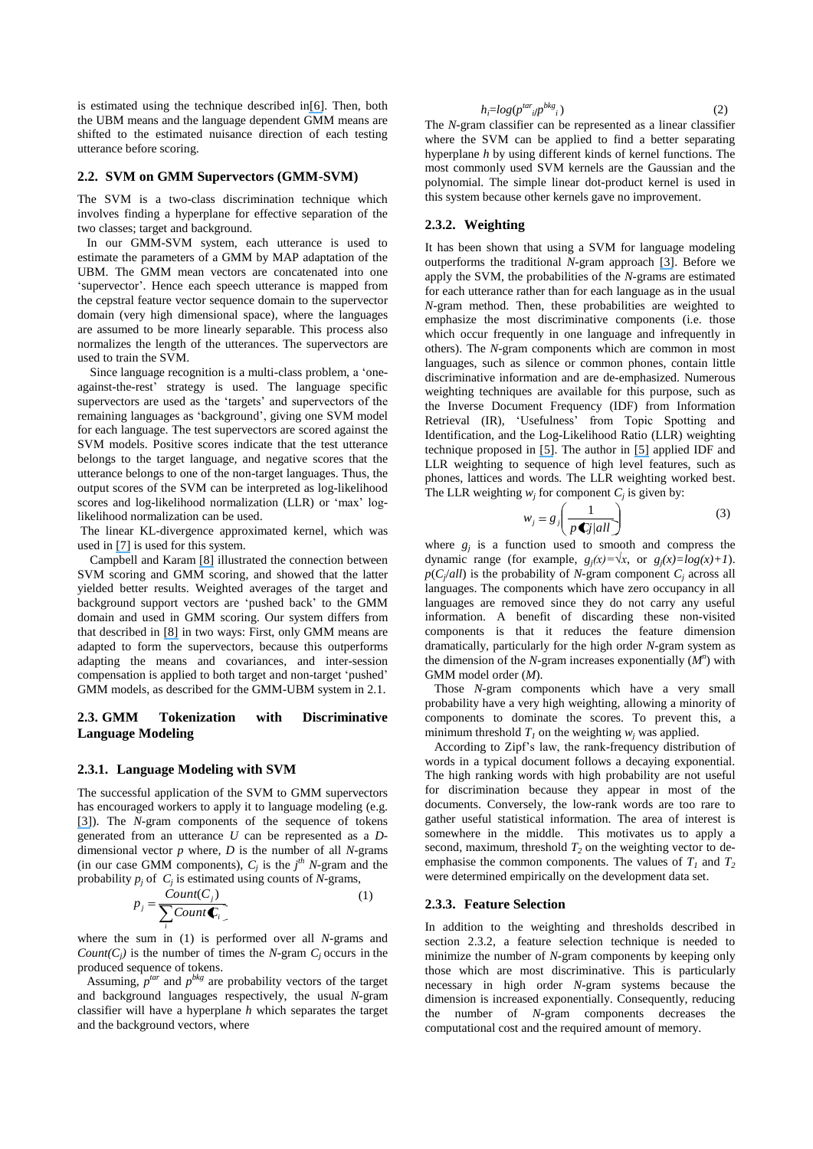is estimated using the technique described i[n\[6\]](https://www.researchgate.net/publication/224671776_Channel_Factors_Compensation_in_Model_and_Feature_Domain_for_Speaker_Recognition?el=1_x_8&enrichId=rgreq-28adc3462f6a582a47b08d9794cb4f53-XXX&enrichSource=Y292ZXJQYWdlOzIyMTQ4ODc4NztBUzoxNjU0OTczNDk4Nzc3NjBAMTQxNjQ2OTA1MTAyNA==). Then, both the UBM means and the language dependent GMM means are shifted to the estimated nuisance direction of each testing utterance before scoring.

#### <span id="page-2-1"></span>**2.2. SVM on GMM Supervectors (GMM-SVM)**

The SVM is a two-class discrimination technique which involves finding a hyperplane for effective separation of the two classes; target and background.

 In our GMM-SVM system, each utterance is used to estimate the parameters of a GMM by MAP adaptation of the UBM. The GMM mean vectors are concatenated into one 'supervector'. Hence each speech utterance is mapped from the cepstral feature vector sequence domain to the supervector domain (very high dimensional space), where the languages are assumed to be more linearly separable. This process also normalizes the length of the utterances. The supervectors are used to train the SVM.

 Since language recognition is a multi-class problem, a "oneagainst-the-rest" strategy is used. The language specific supervectors are used as the 'targets' and supervectors of the remaining languages as "background", giving one SVM model for each language. The test supervectors are scored against the SVM models. Positive scores indicate that the test utterance belongs to the target language, and negative scores that the utterance belongs to one of the non-target languages. Thus, the output scores of the SVM can be interpreted as log-likelihood scores and log-likelihood normalization (LLR) or 'max' loglikelihood normalization can be used.

The linear KL-divergence approximated kernel, which was used in [\[7\]](https://www.researchgate.net/publication/221482949_Linear_and_non_linear_kernel_GMM_super_vector_machines_for_speaker_verification?el=1_x_8&enrichId=rgreq-28adc3462f6a582a47b08d9794cb4f53-XXX&enrichSource=Y292ZXJQYWdlOzIyMTQ4ODc4NztBUzoxNjU0OTczNDk4Nzc3NjBAMTQxNjQ2OTA1MTAyNA==) is used for this system.

 Campbell and Karam [\[8\]](https://www.researchgate.net/publication/221480468_A_framework_for_discriminative_SVMGMM_systems_for_language_recognition?el=1_x_8&enrichId=rgreq-28adc3462f6a582a47b08d9794cb4f53-XXX&enrichSource=Y292ZXJQYWdlOzIyMTQ4ODc4NztBUzoxNjU0OTczNDk4Nzc3NjBAMTQxNjQ2OTA1MTAyNA==) illustrated the connection between SVM scoring and GMM scoring, and showed that the latter yielded better results. Weighted averages of the target and background support vectors are "pushed back" to the GMM domain and used in GMM scoring. Our system differs from that described in [\[8\]](https://www.researchgate.net/publication/221480468_A_framework_for_discriminative_SVMGMM_systems_for_language_recognition?el=1_x_8&enrichId=rgreq-28adc3462f6a582a47b08d9794cb4f53-XXX&enrichSource=Y292ZXJQYWdlOzIyMTQ4ODc4NztBUzoxNjU0OTczNDk4Nzc3NjBAMTQxNjQ2OTA1MTAyNA==) in two ways: First, only GMM means are adapted to form the supervectors, because this outperforms adapting the means and covariances, and inter-session compensation is applied to both target and non-target "pushed" GMM models, as described for the GMM-UBM system in [2.1.](#page-1-0) 

#### <span id="page-2-2"></span>**2.3. GMM Tokenization with Discriminative Language Modeling**

#### **2.3.1. Language Modeling with SVM**

The successful application of the SVM to GMM supervectors has encouraged workers to apply it to language modeling (e.g. [\[3\]](https://www.researchgate.net/publication/224671759_Discriminatively_trained_Language_Models_using_Support_Vector_Machines_for_Language_Identification?el=1_x_8&enrichId=rgreq-28adc3462f6a582a47b08d9794cb4f53-XXX&enrichSource=Y292ZXJQYWdlOzIyMTQ4ODc4NztBUzoxNjU0OTczNDk4Nzc3NjBAMTQxNjQ2OTA1MTAyNA==)). The *N*-gram components of the sequence of tokens generated from an utterance *U* can be represented as a *D*dimensional vector *p* where, *D* is the number of all *N*-grams (in our case GMM components),  $C_j$  is the  $j<sup>th</sup> N$ -gram and the probability  $p_j$  of  $C_j$  is estimated using counts of *N*-grams,

$$
p_j = \frac{Count(C_j)}{\sum_i Count(\mathbf{C}_i)} \tag{1}
$$

where the sum in (1) is performed over all *N*-grams and *Count*( $C_j$ ) is the number of times the *N*-gram  $C_j$  occurs in the produced sequence of tokens.

Assuming,  $p^{tar}$  and  $p^{bkg}$  are probability vectors of the target and background languages respectively, the usual *N*-gram classifier will have a hyperplane *h* which separates the target and the background vectors, where

$$
h_i = \log(p^{tar} \cdot \text{IP}^{bkg})
$$
 (2)

 $h_i = log(p^{tar}_{ilp}^{osc})$  (2)<br>The *N*-gram classifier can be represented as a linear classifier where the SVM can be applied to find a better separating hyperplane *h* by using different kinds of kernel functions. The most commonly used SVM kernels are the Gaussian and the polynomial. The simple linear dot-product kernel is used in this system because other kernels gave no improvement.

#### <span id="page-2-0"></span>**2.3.2. Weighting**

It has been shown that using a SVM for language modeling outperforms the traditional *N*-gram approach [\[3\]](https://www.researchgate.net/publication/224671759_Discriminatively_trained_Language_Models_using_Support_Vector_Machines_for_Language_Identification?el=1_x_8&enrichId=rgreq-28adc3462f6a582a47b08d9794cb4f53-XXX&enrichSource=Y292ZXJQYWdlOzIyMTQ4ODc4NztBUzoxNjU0OTczNDk4Nzc3NjBAMTQxNjQ2OTA1MTAyNA==). Before we apply the SVM, the probabilities of the *N*-grams are estimated for each utterance rather than for each language as in the usual *N*-gram method. Then, these probabilities are weighted to emphasize the most discriminative components (i.e. those which occur frequently in one language and infrequently in others). The *N*-gram components which are common in most languages, such as silence or common phones, contain little discriminative information and are de-emphasized. Numerous weighting techniques are available for this purpose, such as the Inverse Document Frequency (IDF) from Information Retrieval (IR), 'Usefulness' from Topic Spotting and Identification, and the Log-Likelihood Ratio (LLR) weighting technique proposed in [\[5\]](https://www.researchgate.net/publication/3457901_Speaker_Verification_Using_Support_Vector_Machines_and_High-Level_Features?el=1_x_8&enrichId=rgreq-28adc3462f6a582a47b08d9794cb4f53-XXX&enrichSource=Y292ZXJQYWdlOzIyMTQ4ODc4NztBUzoxNjU0OTczNDk4Nzc3NjBAMTQxNjQ2OTA1MTAyNA==). The author in [\[5\]](https://www.researchgate.net/publication/3457901_Speaker_Verification_Using_Support_Vector_Machines_and_High-Level_Features?el=1_x_8&enrichId=rgreq-28adc3462f6a582a47b08d9794cb4f53-XXX&enrichSource=Y292ZXJQYWdlOzIyMTQ4ODc4NztBUzoxNjU0OTczNDk4Nzc3NjBAMTQxNjQ2OTA1MTAyNA==) applied IDF and LLR weighting to sequence of high level features, such as phones, lattices and words. The LLR weighting worked best. The LLR weighting  $w_j$  for component  $C_j$  is given by:

$$
w_j = g_j \left( \frac{1}{p \mathbf{C} j / all} \right) \tag{3}
$$

where  $g_j$  is a function used to smooth and compress the dynamic range (for example,  $g_j(x) = \sqrt{x}$ , or  $g_j(x) = log(x) + 1$ ).  $p(C_j|all)$  is the probability of *N*-gram component  $C_j$  across all languages. The components which have zero occupancy in all languages are removed since they do not carry any useful information. A benefit of discarding these non-visited components is that it reduces the feature dimension dramatically, particularly for the high order *N*-gram system as the dimension of the  $N$ -gram increases exponentially  $(M<sup>n</sup>)$  with GMM model order (*M*).

 Those *N*-gram components which have a very small probability have a very high weighting, allowing a minority of components to dominate the scores. To prevent this, a minimum threshold  $T_I$  on the weighting  $w_i$  was applied.

 According to Zipf"s law, the rank-frequency distribution of words in a typical document follows a decaying exponential. The high ranking words with high probability are not useful for discrimination because they appear in most of the documents. Conversely, the low-rank words are too rare to gather useful statistical information. The area of interest is somewhere in the middle. This motivates us to apply a second, maximum, threshold  $T_2$  on the weighting vector to deemphasise the common components. The values of  $T_l$  and  $T_2$ were determined empirically on the development data set.

#### **2.3.3. Feature Selection**

In addition to the weighting and thresholds described in section [2.3.2,](#page-2-0) a feature selection technique is needed to minimize the number of *N*-gram components by keeping only those which are most discriminative. This is particularly necessary in high order *N*-gram systems because the dimension is increased exponentially. Consequently, reducing the number of *N*-gram components decreases the computational cost and the required amount of memory.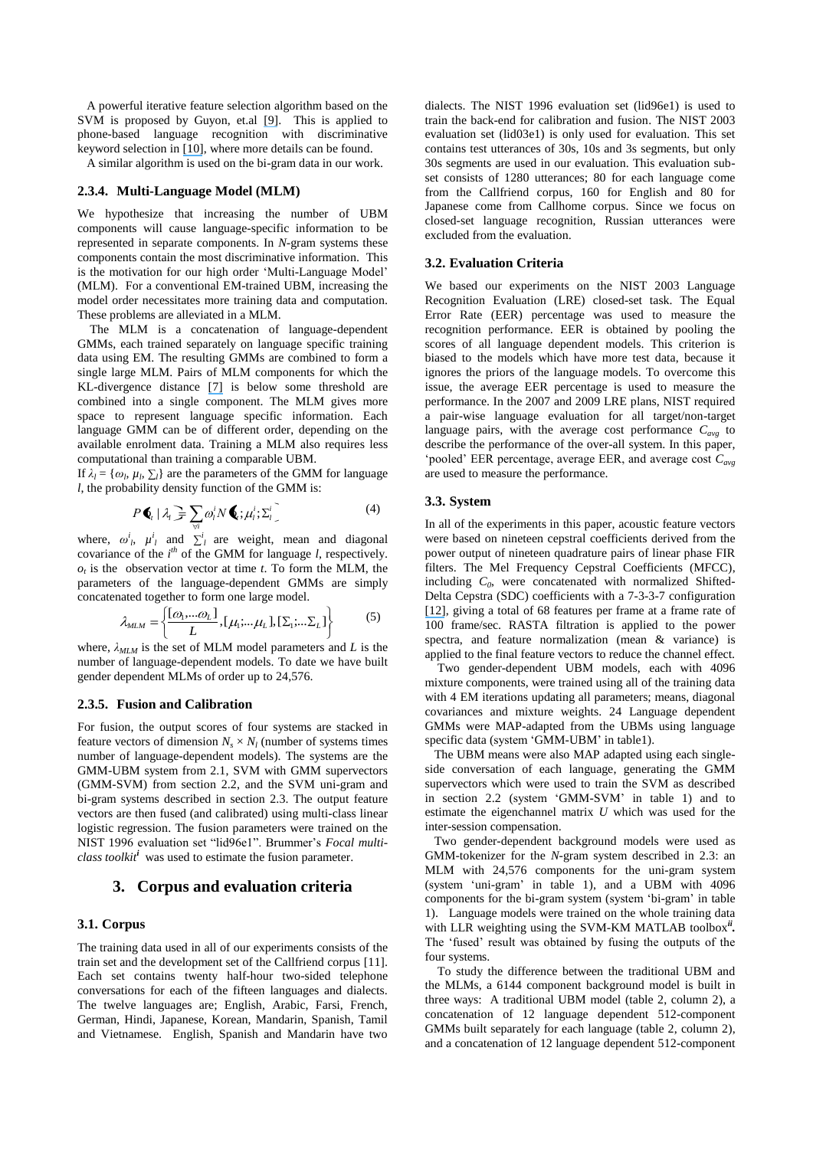A powerful iterative feature selection algorithm based on the SVM is proposed by Guyon, et.al [\[9\]](https://www.researchgate.net/publication/220344030_Gene_Selection_for_Cancer_Classification_Using_Support_Vector_Machines?el=1_x_8&enrichId=rgreq-28adc3462f6a582a47b08d9794cb4f53-XXX&enrichSource=Y292ZXJQYWdlOzIyMTQ4ODc4NztBUzoxNjU0OTczNDk4Nzc3NjBAMTQxNjQ2OTA1MTAyNA==). This is applied to phone-based language recognition with discriminative keyword selection in [\[10\]](https://www.researchgate.net/publication/224762100_Language_recognition_with_discriminative_keyword_selection?el=1_x_8&enrichId=rgreq-28adc3462f6a582a47b08d9794cb4f53-XXX&enrichSource=Y292ZXJQYWdlOzIyMTQ4ODc4NztBUzoxNjU0OTczNDk4Nzc3NjBAMTQxNjQ2OTA1MTAyNA==), where more details can be found.

A similar algorithm is used on the bi-gram data in our work.

#### **2.3.4. Multi-Language Model (MLM)**

We hypothesize that increasing the number of UBM components will cause language-specific information to be represented in separate components. In *N*-gram systems these components contain the most discriminative information. This is the motivation for our high order "Multi-Language Model" (MLM). For a conventional EM-trained UBM, increasing the model order necessitates more training data and computation. These problems are alleviated in a MLM.

 The MLM is a concatenation of language-dependent GMMs, each trained separately on language specific training data using EM. The resulting GMMs are combined to form a single large MLM. Pairs of MLM components for which the KL-divergence distance [\[7\]](https://www.researchgate.net/publication/221482949_Linear_and_non_linear_kernel_GMM_super_vector_machines_for_speaker_verification?el=1_x_8&enrichId=rgreq-28adc3462f6a582a47b08d9794cb4f53-XXX&enrichSource=Y292ZXJQYWdlOzIyMTQ4ODc4NztBUzoxNjU0OTczNDk4Nzc3NjBAMTQxNjQ2OTA1MTAyNA==) is below some threshold are combined into a single component. The MLM gives more space to represent language specific information. Each language GMM can be of different order, depending on the available enrolment data. Training a MLM also requires less computational than training a comparable UBM.

If  $\lambda_l = {\omega_l, \mu_l, \sum_l}$  are the parameters of the GMM for language *l*, the probability density function of the GMM is:

$$
P\bigotimes_i |\lambda_i| = \sum_{\forall i} \omega_i^i N\bigotimes_i \mu_i^i \Sigma_i^i \tag{4}
$$

where,  $\omega^i_i$ ,  $\mu^i_i$  and  $\sum^i_i$  are weight, mean and diagonal covariance of the  $i^{th}$  of the GMM for language *l*, respectively.  $o_t$  is the observation vector at time  $t$ . To form the MLM, the parameters of the language-dependent GMMs are simply concatenated together to form one large model.

$$
\lambda_{MLM} = \left\{ \frac{[\omega_1, \dots \omega_L]}{L}, [\mu_1; \dots; \mu_L], [\Sigma_1; \dots; \Sigma_L] \right\}
$$
(5)

where, *λMLM* is the set of MLM model parameters and *L* is the number of language-dependent models. To date we have built gender dependent MLMs of order up to 24,576.

#### **2.3.5. Fusion and Calibration**

For fusion, the output scores of four systems are stacked in feature vectors of dimension  $N_s \times N_l$  (number of systems times number of language-dependent models). The systems are the GMM-UBM system from [2.1,](#page-1-0) SVM with GMM supervectors (GMM-SVM) from section [2.2,](#page-2-1) and the SVM uni-gram and bi-gram systems described in section [2.3.](#page-2-2) The output feature vectors are then fused (and calibrated) using multi-class linear logistic regression. The fusion parameters were trained on the NIST 1996 evaluation set "lid96e1". Brummer's *Focal multiclass toolkit<sup>i</sup>* was used to estimate the fusion parameter.

#### **3. Corpus and evaluation criteria**

#### **3.1. Corpus**

The training data used in all of our experiments consists of the train set and the development set of the Callfriend corpus [11]. Each set contains twenty half-hour two-sided telephone conversations for each of the fifteen languages and dialects. The twelve languages are; English, Arabic, Farsi, French, German, Hindi, Japanese, Korean, Mandarin, Spanish, Tamil and Vietnamese. English, Spanish and Mandarin have two

dialects. The NIST 1996 evaluation set (lid96e1) is used to train the back-end for calibration and fusion. The NIST 2003 evaluation set (lid03e1) is only used for evaluation. This set contains test utterances of 30s, 10s and 3s segments, but only 30s segments are used in our evaluation. This evaluation subset consists of 1280 utterances; 80 for each language come from the Callfriend corpus, 160 for English and 80 for Japanese come from Callhome corpus. Since we focus on closed-set language recognition, Russian utterances were excluded from the evaluation.

#### **3.2. Evaluation Criteria**

We based our experiments on the NIST 2003 Language Recognition Evaluation (LRE) closed-set task. The Equal Error Rate (EER) percentage was used to measure the recognition performance. EER is obtained by pooling the scores of all language dependent models. This criterion is biased to the models which have more test data, because it ignores the priors of the language models. To overcome this issue, the average EER percentage is used to measure the performance. In the 2007 and 2009 LRE plans, NIST required a pair-wise language evaluation for all target/non-target language pairs, with the average cost performance *Cavg* to describe the performance of the over-all system. In this paper, "pooled" EER percentage, average EER, and average cost *Cavg* are used to measure the performance.

#### <span id="page-3-0"></span>**3.3. System**

In all of the experiments in this paper, acoustic feature vectors were based on nineteen cepstral coefficients derived from the power output of nineteen quadrature pairs of linear phase FIR filters. The Mel Frequency Cepstral Coefficients (MFCC), including  $C_0$ , were concatenated with normalized Shifted-Delta Cepstra (SDC) coefficients with a 7-3-3-7 configuration [\[12\]](https://www.researchgate.net/publication/221490817_Approaches_to_language_identification_using_Gaussian_mixture_models_and_shifted_delta_cepstral_features?el=1_x_8&enrichId=rgreq-28adc3462f6a582a47b08d9794cb4f53-XXX&enrichSource=Y292ZXJQYWdlOzIyMTQ4ODc4NztBUzoxNjU0OTczNDk4Nzc3NjBAMTQxNjQ2OTA1MTAyNA==), giving a total of 68 features per frame at a frame rate of 100 frame/sec. RASTA filtration is applied to the power spectra, and feature normalization (mean & variance) is applied to the final feature vectors to reduce the channel effect.

 Two gender-dependent UBM models, each with 4096 mixture components, were trained using all of the training data with 4 EM iterations updating all parameters; means, diagonal covariances and mixture weights. 24 Language dependent GMMs were MAP-adapted from the UBMs using language specific data (system 'GMM-UBM' in table1).

 The UBM means were also MAP adapted using each singleside conversation of each language, generating the GMM supervectors which were used to train the SVM as described in section [2.2](#page-2-1) (system "GMM-SVM" in table 1) and to estimate the eigenchannel matrix *U* which was used for the inter-session compensation.

 Two gender-dependent background models were used as GMM-tokenizer for the *N*-gram system described in [2.3:](#page-2-2) an MLM with 24,576 components for the uni-gram system (system "uni-gram" in table 1), and a UBM with 4096 components for the bi-gram system (system "bi-gram" in table 1). Language models were trained on the whole training data with LLR weighting using the SVM-KM MATLAB toolbox*ii .* The 'fused' result was obtained by fusing the outputs of the four systems.

 To study the difference between the traditional UBM and the MLMs, a 6144 component background model is built in three ways: A traditional UBM model (table 2, column 2), a concatenation of 12 language dependent 512-component GMMs built separately for each language (table 2, column 2), and a concatenation of 12 language dependent 512-component